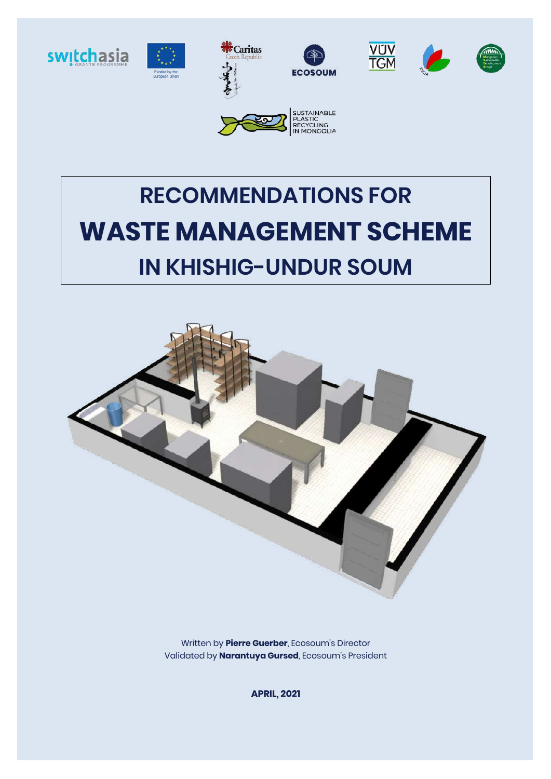

# **RECOMMENDATIONS FOR WASTE MANAGEMENT SCHEME IN KHISHIG-UNDUR SOUM**



Written by **Pierre Guerber**, Ecosoum's Director Validated by **Narantuya Gursed**, Ecosoum's President

**APRIL, 2021**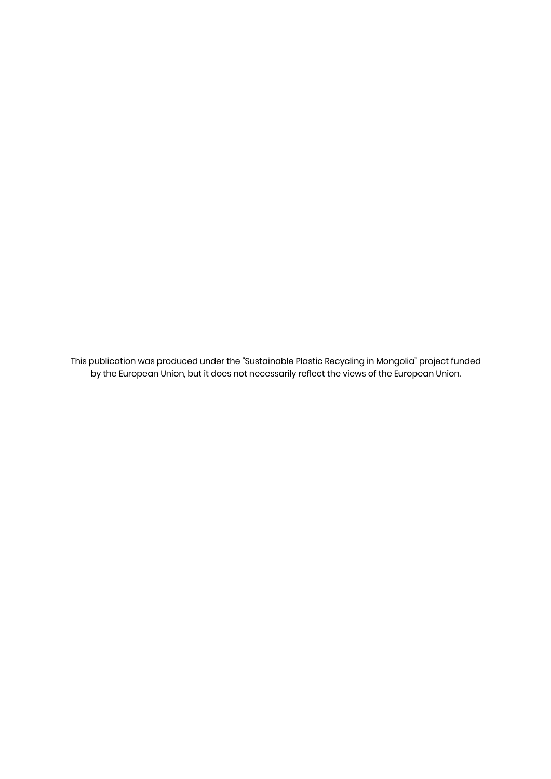This publication was produced under the "Sustainable Plastic Recycling in Mongolia" project funded by the European Union, but it does not necessarily reflect the views of the European Union.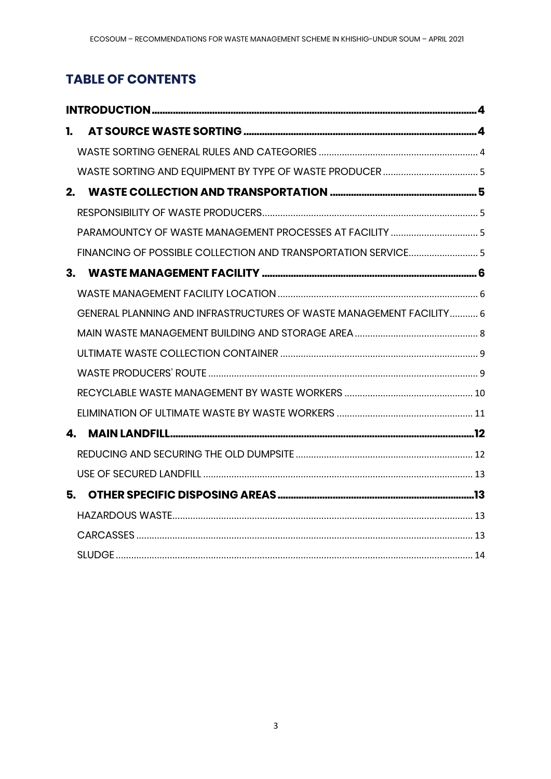# **TABLE OF CONTENTS**

| 1. |                                                                     |  |  |  |  |  |
|----|---------------------------------------------------------------------|--|--|--|--|--|
|    |                                                                     |  |  |  |  |  |
|    |                                                                     |  |  |  |  |  |
| 2. |                                                                     |  |  |  |  |  |
|    |                                                                     |  |  |  |  |  |
|    | PARAMOUNTCY OF WASTE MANAGEMENT PROCESSES AT FACILITY  5            |  |  |  |  |  |
|    |                                                                     |  |  |  |  |  |
| 3. |                                                                     |  |  |  |  |  |
|    |                                                                     |  |  |  |  |  |
|    | GENERAL PLANNING AND INFRASTRUCTURES OF WASTE MANAGEMENT FACILITY 6 |  |  |  |  |  |
|    |                                                                     |  |  |  |  |  |
|    |                                                                     |  |  |  |  |  |
|    |                                                                     |  |  |  |  |  |
|    |                                                                     |  |  |  |  |  |
|    |                                                                     |  |  |  |  |  |
|    | 4.                                                                  |  |  |  |  |  |
|    |                                                                     |  |  |  |  |  |
|    |                                                                     |  |  |  |  |  |
| 5. |                                                                     |  |  |  |  |  |
|    |                                                                     |  |  |  |  |  |
|    |                                                                     |  |  |  |  |  |
|    |                                                                     |  |  |  |  |  |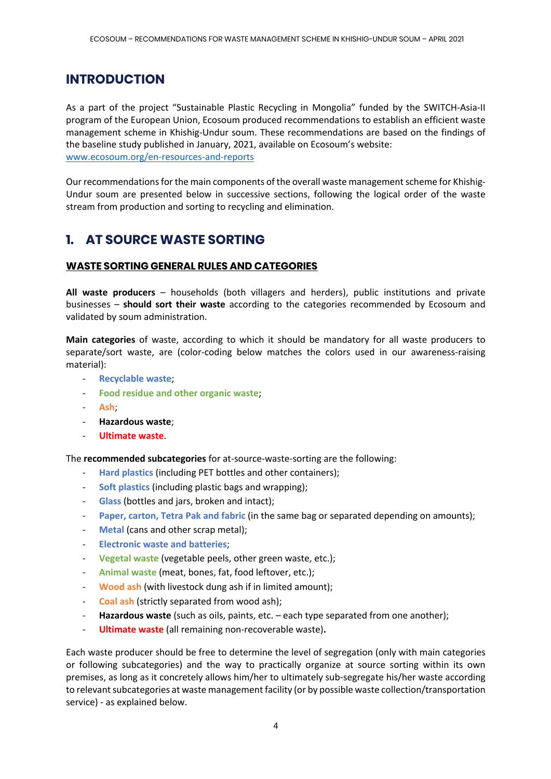## **INTRODUCTION**

As a part of the project "Sustainable Plastic Recycling in Mongolia" funded by the SWITCH-Asia-II program of the European Union, Ecosoum produced recommendations to establish an efficient waste management scheme in Khishig-Undur soum. These recommendations are based on the findings of the baseline study published in January, 2021, available on Ecosoum's website: www.ecosoum.org/en-resources-and-reports

Our recommendations for the main components of the overall waste management scheme for Khishig-Undur soum are presented below in successive sections, following the logical order of the waste stream from production and sorting to recycling and elimination.

# **1. AT SOURCE WASTE SORTING**

#### **WASTE SORTING GENERAL RULES AND CATEGORIES**

**All waste producers** – households (both villagers and herders), public institutions and private businesses – **should sort their waste** according to the categories recommended by Ecosoum and validated by soum administration.

**Main categories** of waste, according to which it should be mandatory for all waste producers to separate/sort waste, are (color-coding below matches the colors used in our awareness-raising material):

- **Recyclable waste**;
- **Food residue and other organic waste**;
- **Ash**;
- **Hazardous waste**;
- **Ultimate waste**.

The **recommended subcategories** for at-source-waste-sorting are the following:

- **Hard plastics** (including PET bottles and other containers);
- **Soft plastics** (including plastic bags and wrapping);
- Glass (bottles and jars, broken and intact);
- **Paper, carton, Tetra Pak and fabric** (in the same bag or separated depending on amounts);
- **Metal** (cans and other scrap metal);
- **Electronic waste and batteries**;
- **Vegetal waste** (vegetable peels, other green waste, etc.);
- **Animal waste** (meat, bones, fat, food leftover, etc.);
- **Wood ash** (with livestock dung ash if in limited amount);
- **Coal ash** (strictly separated from wood ash);
- **Hazardous waste** (such as oils, paints, etc. each type separated from one another);
- **Ultimate waste** (all remaining non-recoverable waste)**.**

Each waste producer should be free to determine the level of segregation (only with main categories or following subcategories) and the way to practically organize at source sorting within its own premises, as long as it concretely allows him/her to ultimately sub-segregate his/her waste according to relevant subcategories at waste management facility (or by possible waste collection/transportation service) - as explained below.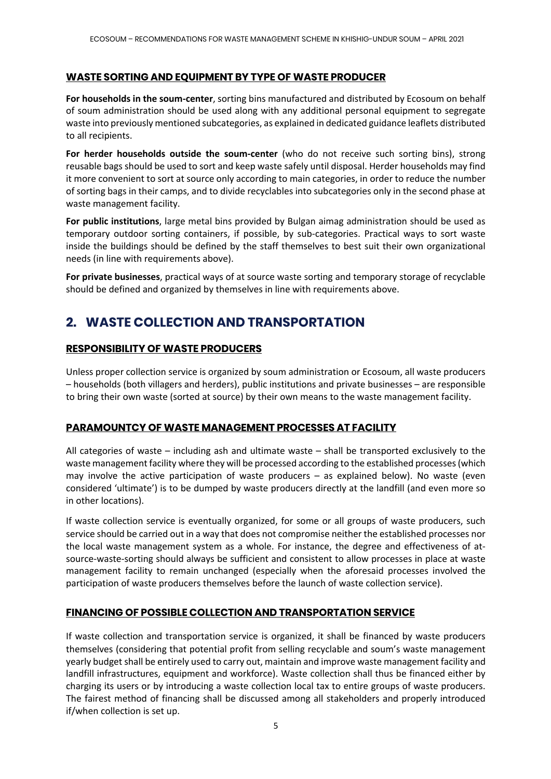#### **WASTE SORTING AND EQUIPMENT BY TYPE OF WASTE PRODUCER**

**For households in the soum-center**, sorting bins manufactured and distributed by Ecosoum on behalf of soum administration should be used along with any additional personal equipment to segregate waste into previously mentioned subcategories, as explained in dedicated guidance leaflets distributed to all recipients.

**For herder households outside the soum-center** (who do not receive such sorting bins), strong reusable bags should be used to sort and keep waste safely until disposal. Herder households may find it more convenient to sort at source only according to main categories, in order to reduce the number of sorting bags in their camps, and to divide recyclables into subcategories only in the second phase at waste management facility.

**For public institutions**, large metal bins provided by Bulgan aimag administration should be used as temporary outdoor sorting containers, if possible, by sub-categories. Practical ways to sort waste inside the buildings should be defined by the staff themselves to best suit their own organizational needs (in line with requirements above).

**For private businesses**, practical ways of at source waste sorting and temporary storage of recyclable should be defined and organized by themselves in line with requirements above.

# **2. WASTE COLLECTION AND TRANSPORTATION**

#### **RESPONSIBILITY OF WASTE PRODUCERS**

Unless proper collection service is organized by soum administration or Ecosoum, all waste producers – households (both villagers and herders), public institutions and private businesses – are responsible to bring their own waste (sorted at source) by their own means to the waste management facility.

#### **PARAMOUNTCY OF WASTE MANAGEMENT PROCESSES AT FACILITY**

All categories of waste – including ash and ultimate waste – shall be transported exclusively to the waste management facility where they will be processed according to the established processes (which may involve the active participation of waste producers – as explained below). No waste (even considered 'ultimate') is to be dumped by waste producers directly at the landfill (and even more so in other locations).

If waste collection service is eventually organized, for some or all groups of waste producers, such service should be carried out in a way that does not compromise neither the established processes nor the local waste management system as a whole. For instance, the degree and effectiveness of atsource-waste-sorting should always be sufficient and consistent to allow processes in place at waste management facility to remain unchanged (especially when the aforesaid processes involved the participation of waste producers themselves before the launch of waste collection service).

#### **FINANCING OF POSSIBLE COLLECTION AND TRANSPORTATION SERVICE**

If waste collection and transportation service is organized, it shall be financed by waste producers themselves (considering that potential profit from selling recyclable and soum's waste management yearly budget shall be entirely used to carry out, maintain and improve waste management facility and landfill infrastructures, equipment and workforce). Waste collection shall thus be financed either by charging its users or by introducing a waste collection local tax to entire groups of waste producers. The fairest method of financing shall be discussed among all stakeholders and properly introduced if/when collection is set up.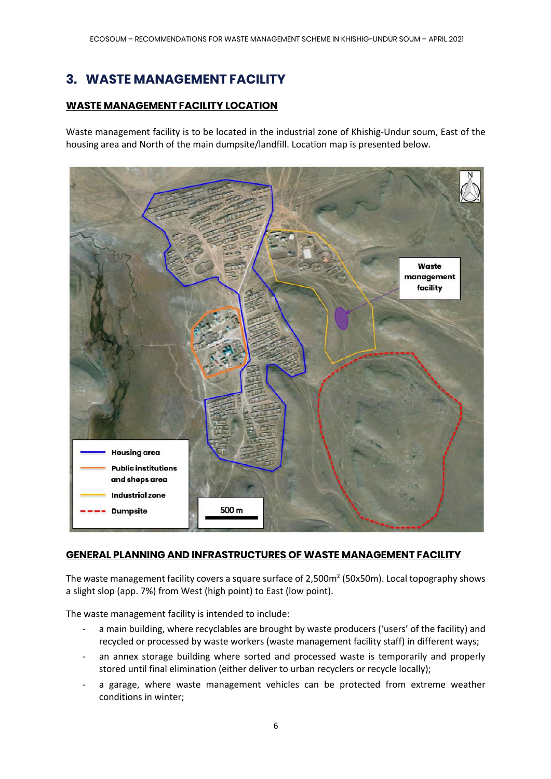# **3. WASTE MANAGEMENT FACILITY**

#### **WASTE MANAGEMENT FACILITY LOCATION**

Waste management facility is to be located in the industrial zone of Khishig-Undur soum, East of the housing area and North of the main dumpsite/landfill. Location map is presented below.



#### **GENERAL PLANNING AND INFRASTRUCTURES OF WASTE MANAGEMENT FACILITY**

The waste management facility covers a square surface of 2,500m<sup>2</sup> (50x50m). Local topography shows a slight slop (app. 7%) from West (high point) to East (low point).

The waste management facility is intended to include:

- a main building, where recyclables are brought by waste producers ('users' of the facility) and recycled or processed by waste workers (waste management facility staff) in different ways;
- an annex storage building where sorted and processed waste is temporarily and properly stored until final elimination (either deliver to urban recyclers or recycle locally);
- a garage, where waste management vehicles can be protected from extreme weather conditions in winter;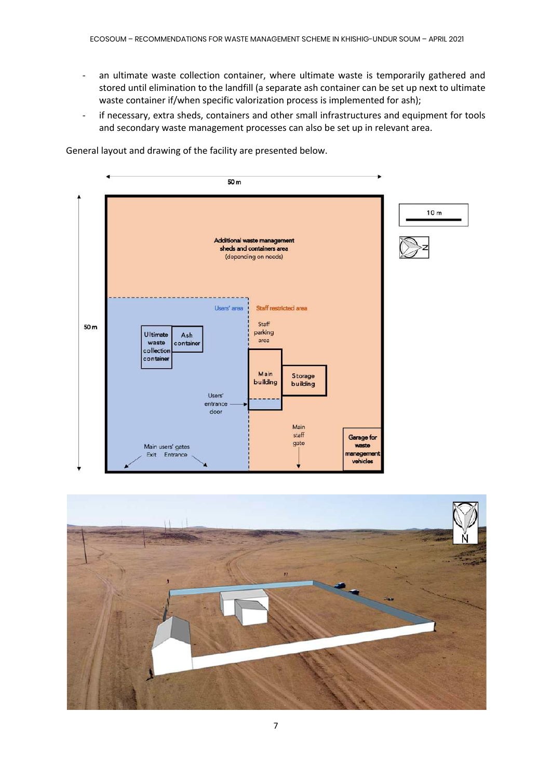- an ultimate waste collection container, where ultimate waste is temporarily gathered and stored until elimination to the landfill (a separate ash container can be set up next to ultimate waste container if/when specific valorization process is implemented for ash);
- if necessary, extra sheds, containers and other small infrastructures and equipment for tools and secondary waste management processes can also be set up in relevant area.

 $50<sub>m</sub>$  $10<sub>m</sub>$ Additional waste management sheds and containers area (depending on needs) Users' area Staff restricted area Staff 50 m parking Ultimate Ash area waste containe collection container Main Storage building building Users' entrance door Main  $statf$ **Garage** for gate Main users' gates waste Exit Entrance nanagemer vehicles

General layout and drawing of the facility are presented below.

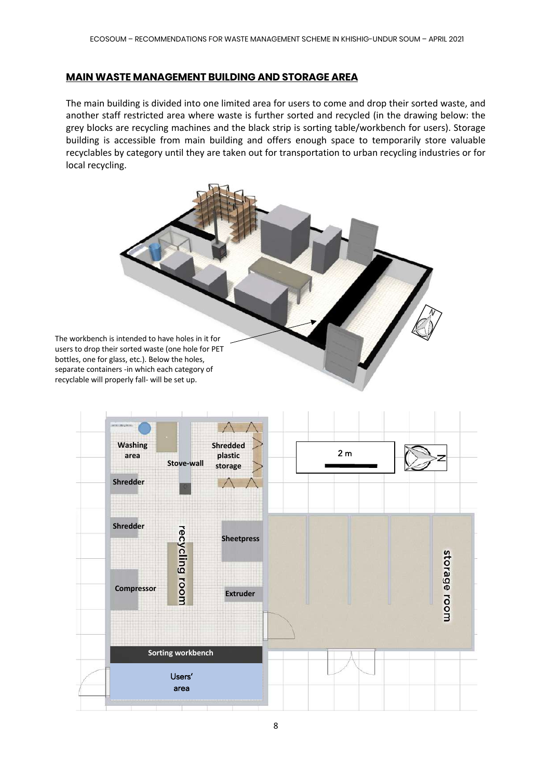#### **MAIN WASTE MANAGEMENT BUILDING AND STORAGE AREA**

The main building is divided into one limited area for users to come and drop their sorted waste, and another staff restricted area where waste is further sorted and recycled (in the drawing below: the grey blocks are recycling machines and the black strip is sorting table/workbench for users). Storage building is accessible from main building and offers enough space to temporarily store valuable recyclables by category until they are taken out for transportation to urban recycling industries or for local recycling.



| cling<br>room<br>Compressor         | <b>Extruder</b> | storage room |
|-------------------------------------|-----------------|--------------|
| Sorting workbench<br>Users'<br>area |                 |              |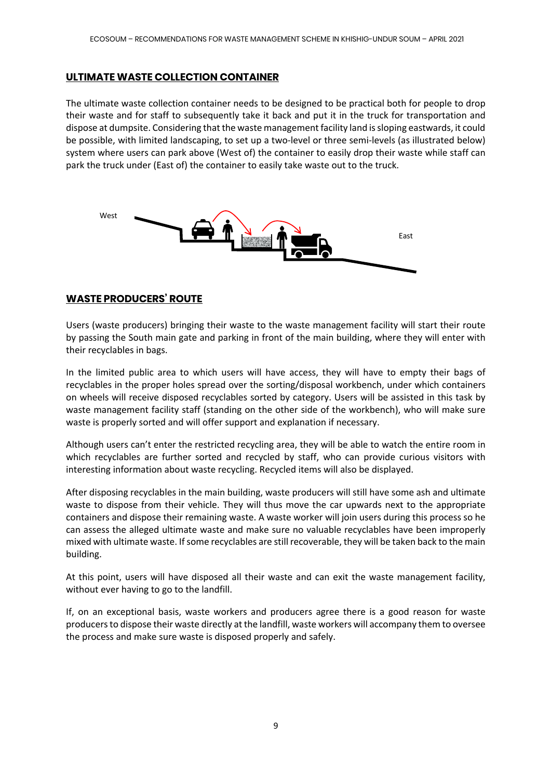#### **ULTIMATE WASTE COLLECTION CONTAINER**

The ultimate waste collection container needs to be designed to be practical both for people to drop their waste and for staff to subsequently take it back and put it in the truck for transportation and dispose at dumpsite. Considering that the waste management facility land is sloping eastwards, it could be possible, with limited landscaping, to set up a two-level or three semi-levels (as illustrated below) system where users can park above (West of) the container to easily drop their waste while staff can park the truck under (East of) the container to easily take waste out to the truck.



#### **WASTE PRODUCERS' ROUTE**

Users (waste producers) bringing their waste to the waste management facility will start their route by passing the South main gate and parking in front of the main building, where they will enter with their recyclables in bags.

In the limited public area to which users will have access, they will have to empty their bags of recyclables in the proper holes spread over the sorting/disposal workbench, under which containers on wheels will receive disposed recyclables sorted by category. Users will be assisted in this task by waste management facility staff (standing on the other side of the workbench), who will make sure waste is properly sorted and will offer support and explanation if necessary.

Although users can't enter the restricted recycling area, they will be able to watch the entire room in which recyclables are further sorted and recycled by staff, who can provide curious visitors with interesting information about waste recycling. Recycled items will also be displayed.

After disposing recyclables in the main building, waste producers will still have some ash and ultimate waste to dispose from their vehicle. They will thus move the car upwards next to the appropriate containers and dispose their remaining waste. A waste worker will join users during this process so he can assess the alleged ultimate waste and make sure no valuable recyclables have been improperly mixed with ultimate waste. If some recyclables are still recoverable, they will be taken back to the main building.

At this point, users will have disposed all their waste and can exit the waste management facility, without ever having to go to the landfill.

If, on an exceptional basis, waste workers and producers agree there is a good reason for waste producers to dispose their waste directly at the landfill, waste workers will accompany them to oversee the process and make sure waste is disposed properly and safely.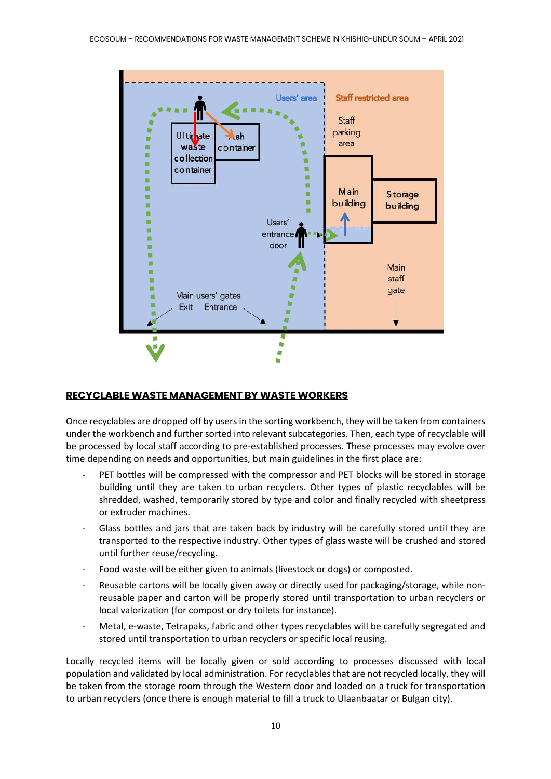

#### **RECYCLABLE WASTE MANAGEMENT BY WASTE WORKERS**

Once recyclables are dropped off by users in the sorting workbench, they will be taken from containers under the workbench and further sorted into relevant subcategories. Then, each type of recyclable will be processed by local staff according to pre-established processes. These processes may evolve over time depending on needs and opportunities, but main guidelines in the first place are:

- PET bottles will be compressed with the compressor and PET blocks will be stored in storage building until they are taken to urban recyclers. Other types of plastic recyclables will be shredded, washed, temporarily stored by type and color and finally recycled with sheetpress or extruder machines.
- Glass bottles and jars that are taken back by industry will be carefully stored until they are transported to the respective industry. Other types of glass waste will be crushed and stored until further reuse/recycling.
- Food waste will be either given to animals (livestock or dogs) or composted.
- Reusable cartons will be locally given away or directly used for packaging/storage, while nonreusable paper and carton will be properly stored until transportation to urban recyclers or local valorization (for compost or dry toilets for instance).
- Metal, e-waste, Tetrapaks, fabric and other types recyclables will be carefully segregated and stored until transportation to urban recyclers or specific local reusing.

Locally recycled items will be locally given or sold according to processes discussed with local population and validated by local administration. For recyclables that are not recycled locally, they will be taken from the storage room through the Western door and loaded on a truck for transportation to urban recyclers (once there is enough material to fill a truck to Ulaanbaatar or Bulgan city).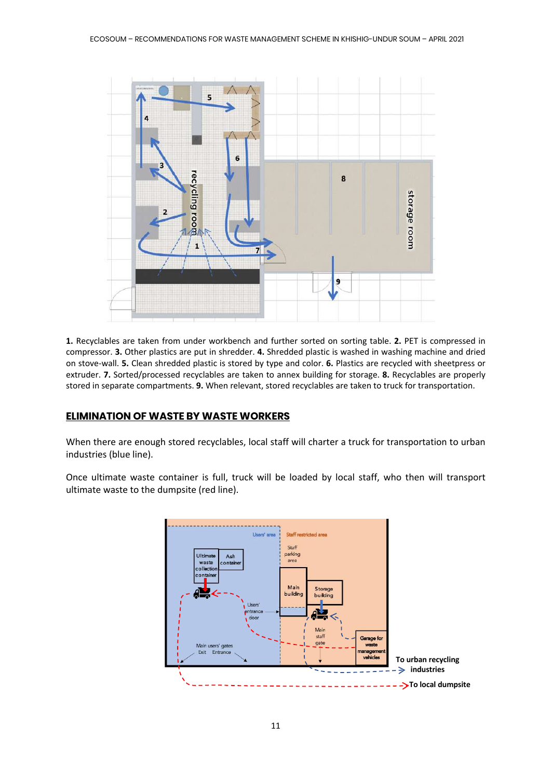

**1.** Recyclables are taken from under workbench and further sorted on sorting table. **2.** PET is compressed in compressor. **3.** Other plastics are put in shredder. **4.** Shredded plastic is washed in washing machine and dried on stove-wall. **5.** Clean shredded plastic is stored by type and color. **6.** Plastics are recycled with sheetpress or extruder. **7.** Sorted/processed recyclables are taken to annex building for storage. **8.** Recyclables are properly stored in separate compartments. **9.** When relevant, stored recyclables are taken to truck for transportation.

#### **ELIMINATION OF WASTE BY WASTE WORKERS**

When there are enough stored recyclables, local staff will charter a truck for transportation to urban industries (blue line).

Once ultimate waste container is full, truck will be loaded by local staff, who then will transport ultimate waste to the dumpsite (red line).

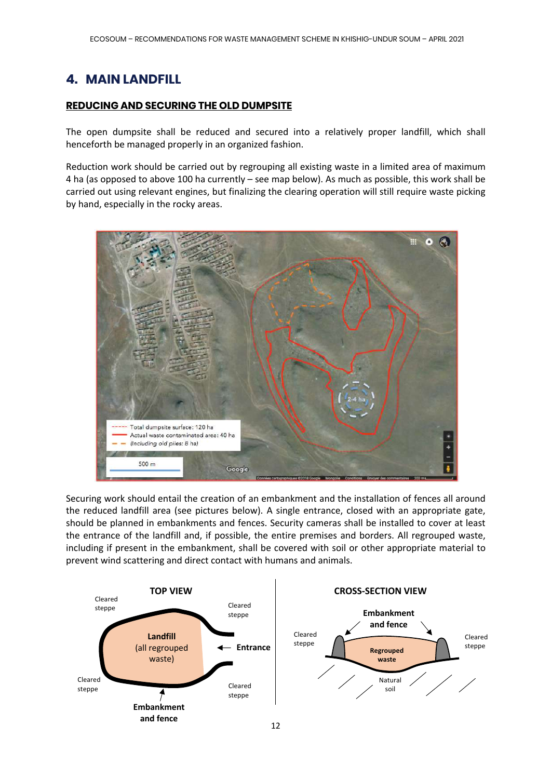## **4. MAIN LANDFILL**

#### **REDUCING AND SECURING THE OLD DUMPSITE**

The open dumpsite shall be reduced and secured into a relatively proper landfill, which shall henceforth be managed properly in an organized fashion.

Reduction work should be carried out by regrouping all existing waste in a limited area of maximum 4 ha (as opposed to above 100 ha currently – see map below). As much as possible, this work shall be carried out using relevant engines, but finalizing the clearing operation will still require waste picking by hand, especially in the rocky areas.



Securing work should entail the creation of an embankment and the installation of fences all around the reduced landfill area (see pictures below). A single entrance, closed with an appropriate gate, should be planned in embankments and fences. Security cameras shall be installed to cover at least the entrance of the landfill and, if possible, the entire premises and borders. All regrouped waste, including if present in the embankment, shall be covered with soil or other appropriate material to prevent wind scattering and direct contact with humans and animals.

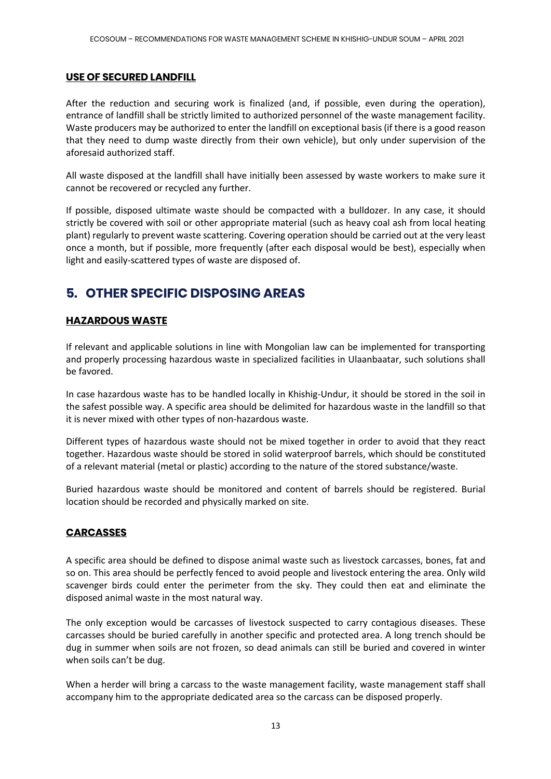#### **USE OF SECURED LANDFILL**

After the reduction and securing work is finalized (and, if possible, even during the operation), entrance of landfill shall be strictly limited to authorized personnel of the waste management facility. Waste producers may be authorized to enter the landfill on exceptional basis (if there is a good reason that they need to dump waste directly from their own vehicle), but only under supervision of the aforesaid authorized staff.

All waste disposed at the landfill shall have initially been assessed by waste workers to make sure it cannot be recovered or recycled any further.

If possible, disposed ultimate waste should be compacted with a bulldozer. In any case, it should strictly be covered with soil or other appropriate material (such as heavy coal ash from local heating plant) regularly to prevent waste scattering. Covering operation should be carried out at the very least once a month, but if possible, more frequently (after each disposal would be best), especially when light and easily-scattered types of waste are disposed of.

# **5. OTHER SPECIFIC DISPOSING AREAS**

#### **HAZARDOUS WASTE**

If relevant and applicable solutions in line with Mongolian law can be implemented for transporting and properly processing hazardous waste in specialized facilities in Ulaanbaatar, such solutions shall be favored.

In case hazardous waste has to be handled locally in Khishig-Undur, it should be stored in the soil in the safest possible way. A specific area should be delimited for hazardous waste in the landfill so that it is never mixed with other types of non-hazardous waste.

Different types of hazardous waste should not be mixed together in order to avoid that they react together. Hazardous waste should be stored in solid waterproof barrels, which should be constituted of a relevant material (metal or plastic) according to the nature of the stored substance/waste.

Buried hazardous waste should be monitored and content of barrels should be registered. Burial location should be recorded and physically marked on site.

#### **CARCASSES**

A specific area should be defined to dispose animal waste such as livestock carcasses, bones, fat and so on. This area should be perfectly fenced to avoid people and livestock entering the area. Only wild scavenger birds could enter the perimeter from the sky. They could then eat and eliminate the disposed animal waste in the most natural way.

The only exception would be carcasses of livestock suspected to carry contagious diseases. These carcasses should be buried carefully in another specific and protected area. A long trench should be dug in summer when soils are not frozen, so dead animals can still be buried and covered in winter when soils can't be dug.

When a herder will bring a carcass to the waste management facility, waste management staff shall accompany him to the appropriate dedicated area so the carcass can be disposed properly.